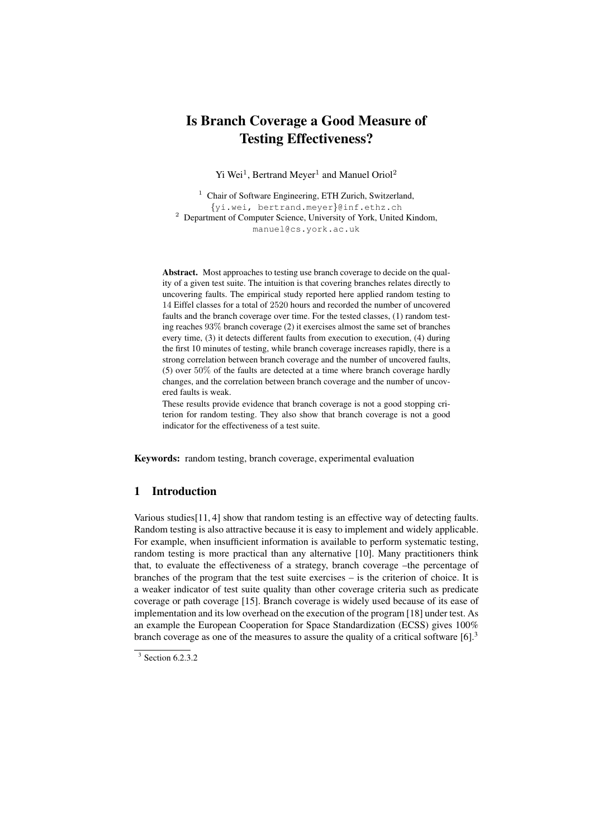# Is Branch Coverage a Good Measure of Testing Effectiveness?

Yi Wei<sup>1</sup>, Bertrand Meyer<sup>1</sup> and Manuel Oriol<sup>2</sup>

 $1$  Chair of Software Engineering, ETH Zurich, Switzerland, *{*yi.wei, bertrand.meyer*}*@inf.ethz.ch <sup>2</sup> Department of Computer Science, University of York, United Kindom, manuel@cs.york.ac.uk

Abstract. Most approaches to testing use branch coverage to decide on the quality of a given test suite. The intuition is that covering branches relates directly to uncovering faults. The empirical study reported here applied random testing to 14 Eiffel classes for a total of 2520 hours and recorded the number of uncovered faults and the branch coverage over time. For the tested classes, (1) random testing reaches 93% branch coverage (2) it exercises almost the same set of branches every time, (3) it detects different faults from execution to execution, (4) during the first 10 minutes of testing, while branch coverage increases rapidly, there is a strong correlation between branch coverage and the number of uncovered faults, (5) over 50% of the faults are detected at a time where branch coverage hardly changes, and the correlation between branch coverage and the number of uncovered faults is weak.

These results provide evidence that branch coverage is not a good stopping criterion for random testing. They also show that branch coverage is not a good indicator for the effectiveness of a test suite.

Keywords: random testing, branch coverage, experimental evaluation

## 1 Introduction

Various studies[11, 4] show that random testing is an effective way of detecting faults. Random testing is also attractive because it is easy to implement and widely applicable. For example, when insufficient information is available to perform systematic testing, random testing is more practical than any alternative [10]. Many practitioners think that, to evaluate the effectiveness of a strategy, branch coverage –the percentage of branches of the program that the test suite exercises – is the criterion of choice. It is a weaker indicator of test suite quality than other coverage criteria such as predicate coverage or path coverage [15]. Branch coverage is widely used because of its ease of implementation and its low overhead on the execution of the program [18] under test. As an example the European Cooperation for Space Standardization (ECSS) gives 100% branch coverage as one of the measures to assure the quality of a critical software  $[6]$ <sup>3</sup>

<sup>&</sup>lt;sup>3</sup> Section 6.2.3.2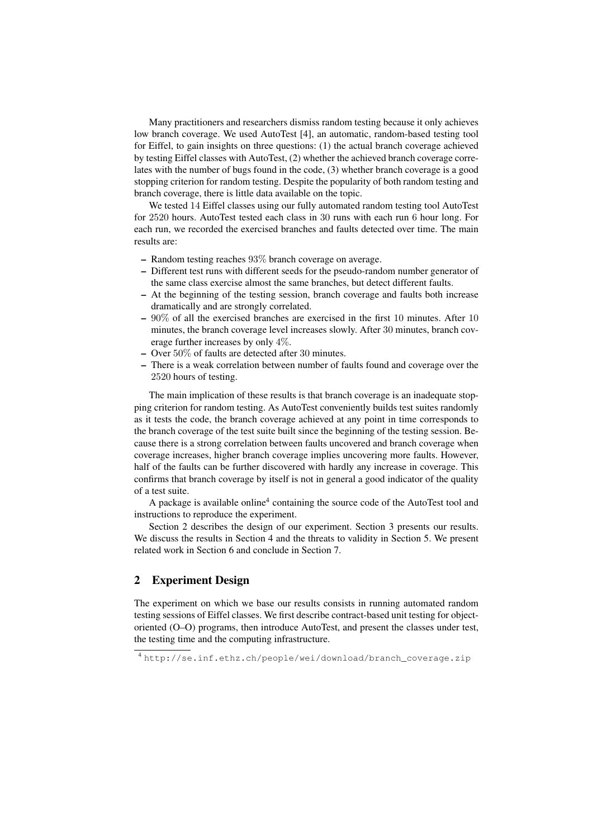Many practitioners and researchers dismiss random testing because it only achieves low branch coverage. We used AutoTest [4], an automatic, random-based testing tool for Eiffel, to gain insights on three questions: (1) the actual branch coverage achieved by testing Eiffel classes with AutoTest, (2) whether the achieved branch coverage correlates with the number of bugs found in the code, (3) whether branch coverage is a good stopping criterion for random testing. Despite the popularity of both random testing and branch coverage, there is little data available on the topic.

We tested 14 Eiffel classes using our fully automated random testing tool AutoTest for 2520 hours. AutoTest tested each class in 30 runs with each run 6 hour long. For each run, we recorded the exercised branches and faults detected over time. The main results are:

- Random testing reaches 93% branch coverage on average.
- Different test runs with different seeds for the pseudo-random number generator of the same class exercise almost the same branches, but detect different faults.
- At the beginning of the testing session, branch coverage and faults both increase dramatically and are strongly correlated.
- $-90\%$  of all the exercised branches are exercised in the first 10 minutes. After 10 minutes, the branch coverage level increases slowly. After 30 minutes, branch coverage further increases by only 4%.
- Over 50% of faults are detected after 30 minutes.
- There is a weak correlation between number of faults found and coverage over the 2520 hours of testing.

The main implication of these results is that branch coverage is an inadequate stopping criterion for random testing. As AutoTest conveniently builds test suites randomly as it tests the code, the branch coverage achieved at any point in time corresponds to the branch coverage of the test suite built since the beginning of the testing session. Because there is a strong correlation between faults uncovered and branch coverage when coverage increases, higher branch coverage implies uncovering more faults. However, half of the faults can be further discovered with hardly any increase in coverage. This confirms that branch coverage by itself is not in general a good indicator of the quality of a test suite.

A package is available online<sup>4</sup> containing the source code of the AutoTest tool and instructions to reproduce the experiment.

Section 2 describes the design of our experiment. Section 3 presents our results. We discuss the results in Section 4 and the threats to validity in Section 5. We present related work in Section 6 and conclude in Section 7.

## 2 Experiment Design

The experiment on which we base our results consists in running automated random testing sessions of Eiffel classes. We first describe contract-based unit testing for objectoriented (O–O) programs, then introduce AutoTest, and present the classes under test, the testing time and the computing infrastructure.

<sup>4</sup> http://se.inf.ethz.ch/people/wei/download/branch\_coverage.zip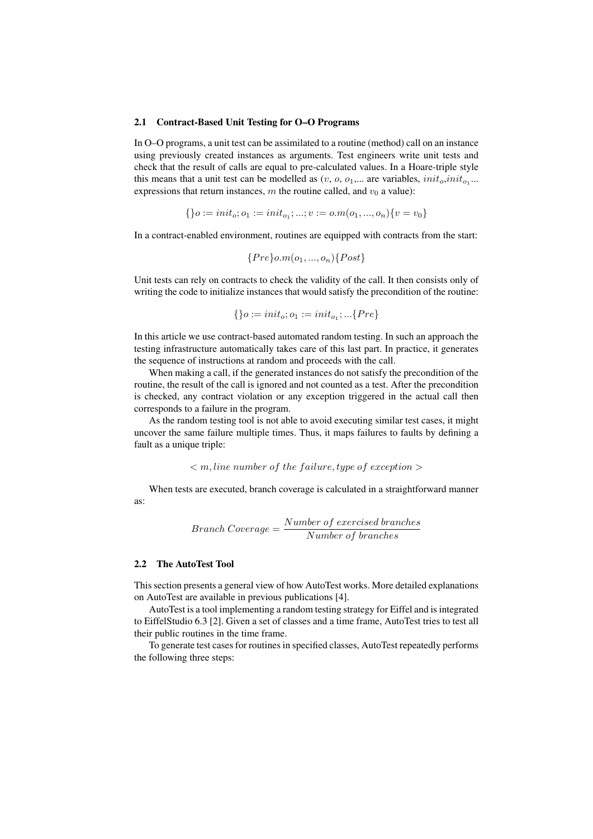#### 2.1 Contract-Based Unit Testing for O–O Programs

In O–O programs, a unit test can be assimilated to a routine (method) call on an instance using previously created instances as arguments. Test engineers write unit tests and check that the result of calls are equal to pre-calculated values. In a Hoare-triple style this means that a unit test can be modelled as  $(v, o, o_1, \dots$  are variables,  $init_o, init_o_1 \dots$ expressions that return instances,  $m$  the routine called, and  $v_0$  a value):

$$
\{\}o := init_o; o_1 := init_{o_1}; ...; v := o.m(o_1, ..., o_n)\{v = v_0\}
$$

In a contract-enabled environment, routines are equipped with contracts from the start:

$$
\{Pre\}o.m(o_1,...,o_n)\{Post\}
$$

Unit tests can rely on contracts to check the validity of the call. It then consists only of writing the code to initialize instances that would satisfy the precondition of the routine:

$$
\{\}o := init_o; o_1 := init_{o_1}; ... \{Pre\}
$$

In this article we use contract-based automated random testing. In such an approach the testing infrastructure automatically takes care of this last part. In practice, it generates the sequence of instructions at random and proceeds with the call.

When making a call, if the generated instances do not satisfy the precondition of the routine, the result of the call is ignored and not counted as a test. After the precondition is checked, any contract violation or any exception triggered in the actual call then corresponds to a failure in the program.

As the random testing tool is not able to avoid executing similar test cases, it might uncover the same failure multiple times. Thus, it maps failures to faults by defining a fault as a unique triple:

*< m, line number of the f ailure, type of exception >*

When tests are executed, branch coverage is calculated in a straightforward manner as:

$$
Branch \,Coverage = \frac{Number \: of \: exercised \: branches}{Number \: of \: branches}
$$

#### 2.2 The AutoTest Tool

This section presents a general view of how AutoTest works. More detailed explanations on AutoTest are available in previous publications [4].

AutoTest is a tool implementing a random testing strategy for Eiffel and is integrated to EiffelStudio 6.3 [2]. Given a set of classes and a time frame, AutoTest tries to test all their public routines in the time frame.

To generate test cases for routines in specified classes, AutoTest repeatedly performs the following three steps: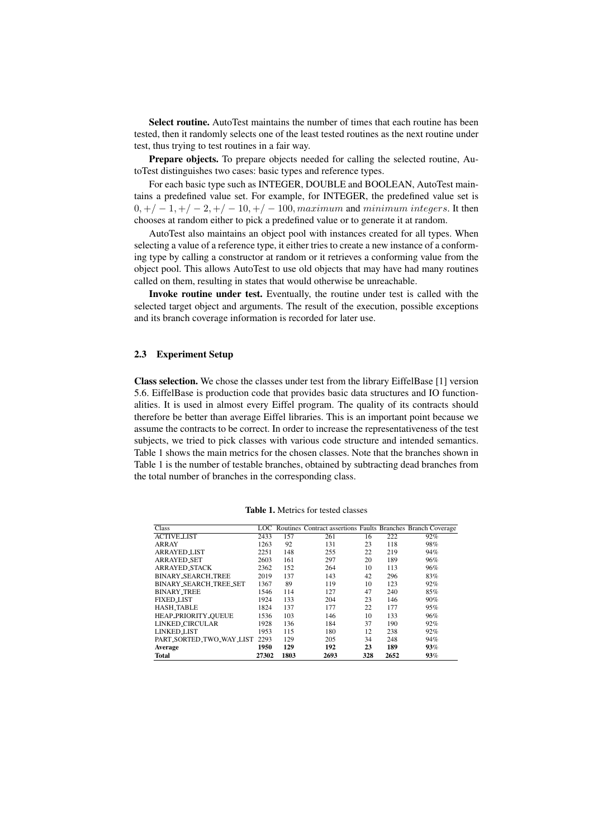Select routine. AutoTest maintains the number of times that each routine has been tested, then it randomly selects one of the least tested routines as the next routine under test, thus trying to test routines in a fair way.

Prepare objects. To prepare objects needed for calling the selected routine, AutoTest distinguishes two cases: basic types and reference types.

For each basic type such as INTEGER, DOUBLE and BOOLEAN, AutoTest maintains a predefined value set. For example, for INTEGER, the predefined value set is 0*,* +  $/$  − 1*,* +  $/$  − 2*,* +  $/$  − 10*,* +  $/$  − 100*, maximum* and *minimum integers*. It then chooses at random either to pick a predefined value or to generate it at random.

AutoTest also maintains an object pool with instances created for all types. When selecting a value of a reference type, it either tries to create a new instance of a conforming type by calling a constructor at random or it retrieves a conforming value from the object pool. This allows AutoTest to use old objects that may have had many routines called on them, resulting in states that would otherwise be unreachable.

Invoke routine under test. Eventually, the routine under test is called with the selected target object and arguments. The result of the execution, possible exceptions and its branch coverage information is recorded for later use.

## 2.3 Experiment Setup

Class selection. We chose the classes under test from the library EiffelBase [1] version 5.6. EiffelBase is production code that provides basic data structures and IO functionalities. It is used in almost every Eiffel program. The quality of its contracts should therefore be better than average Eiffel libraries. This is an important point because we assume the contracts to be correct. In order to increase the representativeness of the test subjects, we tried to pick classes with various code structure and intended semantics. Table 1 shows the main metrics for the chosen classes. Note that the branches shown in Table 1 is the number of testable branches, obtained by subtracting dead branches from the total number of branches in the corresponding class.

| Class                         | LOC-  |      | Routines Contract assertions Faults Branches Branch Coverage |     |      |     |
|-------------------------------|-------|------|--------------------------------------------------------------|-----|------|-----|
| <b>ACTIVE LIST</b>            | 2433  | 157  | 261                                                          | 16  | 222  | 92% |
| <b>ARRAY</b>                  | 1263  | 92   | 131                                                          | 23  | 118  | 98% |
| <b>ARRAYED_LIST</b>           | 2251  | 148  | 255                                                          | 22  | 219  | 94% |
| <b>ARRAYED SET</b>            | 2603  | 161  | 297                                                          | 20  | 189  | 96% |
| <b>ARRAYED STACK</b>          | 2362  | 152  | 264                                                          | 10  | 113  | 96% |
| <b>BINARY_SEARCH_TREE</b>     | 2019  | 137  | 143                                                          | 42  | 296  | 83% |
| BINARY_SEARCH_TREE_SET        | 1367  | 89   | 119                                                          | 10  | 123  | 92% |
| <b>BINARY_TREE</b>            | 1546  | 114  | 127                                                          | 47  | 240  | 85% |
| <b>FIXED LIST</b>             | 1924  | 133  | 204                                                          | 23  | 146  | 90% |
| <b>HASH_TABLE</b>             | 1824  | 137  | 177                                                          | 22  | 177  | 95% |
| HEAP_PRIORITY_OUEUE           | 1536  | 103  | 146                                                          | 10  | 133  | 96% |
| LINKED_CIRCULAR               | 1928  | 136  | 184                                                          | 37  | 190  | 92% |
| <b>LINKED LIST</b>            | 1953  | 115  | 180                                                          | 12  | 238  | 92% |
| PART_SORTED_TWO_WAY_LIST 2293 |       | 129  | 205                                                          | 34  | 248  | 94% |
| Average                       | 1950  | 129  | 192                                                          | 23  | 189  | 93% |
| <b>Total</b>                  | 27302 | 1803 | 2693                                                         | 328 | 2652 | 93% |

Table 1. Metrics for tested classes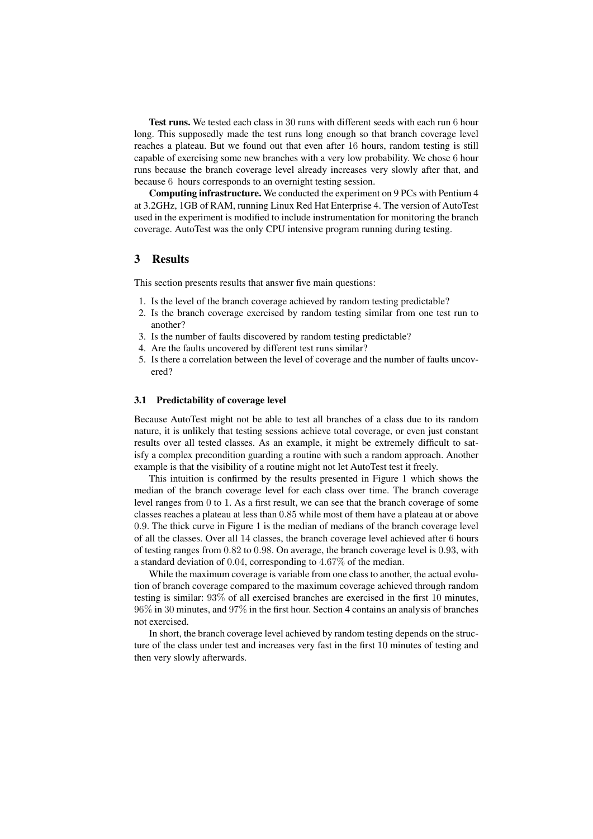Test runs. We tested each class in 30 runs with different seeds with each run 6 hour long. This supposedly made the test runs long enough so that branch coverage level reaches a plateau. But we found out that even after 16 hours, random testing is still capable of exercising some new branches with a very low probability. We chose 6 hour runs because the branch coverage level already increases very slowly after that, and because 6 hours corresponds to an overnight testing session.

Computing infrastructure. We conducted the experiment on 9 PCs with Pentium 4 at 3.2GHz, 1GB of RAM, running Linux Red Hat Enterprise 4. The version of AutoTest used in the experiment is modified to include instrumentation for monitoring the branch coverage. AutoTest was the only CPU intensive program running during testing.

# 3 Results

This section presents results that answer five main questions:

- 1. Is the level of the branch coverage achieved by random testing predictable?
- 2. Is the branch coverage exercised by random testing similar from one test run to another?
- 3. Is the number of faults discovered by random testing predictable?
- 4. Are the faults uncovered by different test runs similar?
- 5. Is there a correlation between the level of coverage and the number of faults uncovered?

#### 3.1 Predictability of coverage level

Because AutoTest might not be able to test all branches of a class due to its random nature, it is unlikely that testing sessions achieve total coverage, or even just constant results over all tested classes. As an example, it might be extremely difficult to satisfy a complex precondition guarding a routine with such a random approach. Another example is that the visibility of a routine might not let AutoTest test it freely.

This intuition is confirmed by the results presented in Figure 1 which shows the median of the branch coverage level for each class over time. The branch coverage level ranges from 0 to 1. As a first result, we can see that the branch coverage of some classes reaches a plateau at less than 0*.*85 while most of them have a plateau at or above 0*.*9. The thick curve in Figure 1 is the median of medians of the branch coverage level of all the classes. Over all 14 classes, the branch coverage level achieved after 6 hours of testing ranges from 0*.*82 to 0*.*98. On average, the branch coverage level is 0*.*93, with a standard deviation of 0*.*04, corresponding to 4*.*67% of the median.

While the maximum coverage is variable from one class to another, the actual evolution of branch coverage compared to the maximum coverage achieved through random testing is similar: 93% of all exercised branches are exercised in the first 10 minutes, 96% in 30 minutes, and 97% in the first hour. Section 4 contains an analysis of branches not exercised.

In short, the branch coverage level achieved by random testing depends on the structure of the class under test and increases very fast in the first 10 minutes of testing and then very slowly afterwards.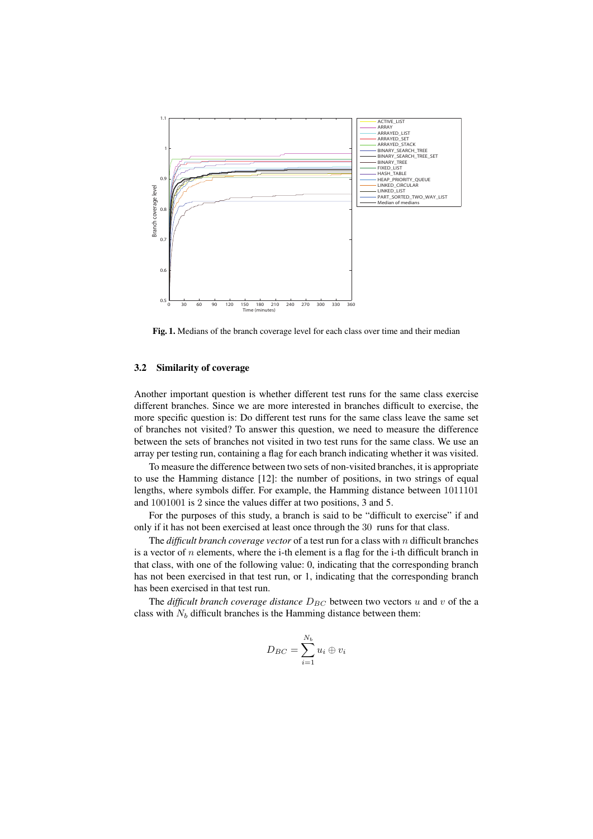

Fig. 1. Medians of the branch coverage level for each class over time and their median

#### 3.2 Similarity of coverage

Another important question is whether different test runs for the same class exercise different branches. Since we are more interested in branches difficult to exercise, the more specific question is: Do different test runs for the same class leave the same set of branches not visited? To answer this question, we need to measure the difference between the sets of branches not visited in two test runs for the same class. We use an array per testing run, containing a flag for each branch indicating whether it was visited.

To measure the difference between two sets of non-visited branches, it is appropriate to use the Hamming distance [12]: the number of positions, in two strings of equal lengths, where symbols differ. For example, the Hamming distance between 1011101 and 1001001 is 2 since the values differ at two positions, 3 and 5.

For the purposes of this study, a branch is said to be "difficult to exercise" if and only if it has not been exercised at least once through the 30 runs for that class.

The *difficult branch coverage vector* of a test run for a class with *n* difficult branches is a vector of *n* elements, where the i-th element is a flag for the i-th difficult branch in that class, with one of the following value: 0, indicating that the corresponding branch has not been exercised in that test run, or 1, indicating that the corresponding branch has been exercised in that test run.

The *difficult branch coverage distance*  $D_{BC}$  between two vectors *u* and *v* of the a class with  $N_b$  difficult branches is the Hamming distance between them:

$$
D_{BC} = \sum_{i=1}^{N_b} u_i \oplus v_i
$$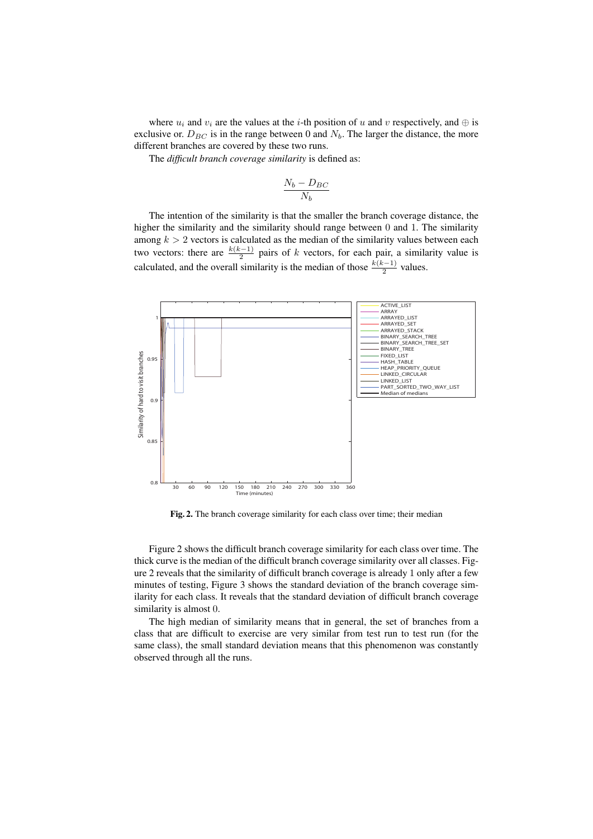where  $u_i$  and  $v_i$  are the values at the *i*-th position of *u* and *v* respectively, and  $\oplus$  is exclusive or.  $D_{BC}$  is in the range between 0 and  $N_b$ . The larger the distance, the more different branches are covered by these two runs.

The *difficult branch coverage similarity* is defined as:

$$
\frac{N_b - D_{BC}}{N_b}
$$

The intention of the similarity is that the smaller the branch coverage distance, the higher the similarity and the similarity should range between 0 and 1. The similarity among *k >* 2 vectors is calculated as the median of the similarity values between each two vectors: there are  $\frac{k(k-1)}{2}$  pairs of *k* vectors, for each pair, a similarity value is calculated, and the overall similarity is the median of those  $\frac{k(k-1)}{2}$  values.



Fig. 2. The branch coverage similarity for each class over time; their median

Figure 2 shows the difficult branch coverage similarity for each class over time. The thick curve is the median of the difficult branch coverage similarity over all classes. Figure 2 reveals that the similarity of difficult branch coverage is already 1 only after a few minutes of testing, Figure 3 shows the standard deviation of the branch coverage similarity for each class. It reveals that the standard deviation of difficult branch coverage similarity is almost 0.

The high median of similarity means that in general, the set of branches from a class that are difficult to exercise are very similar from test run to test run (for the same class), the small standard deviation means that this phenomenon was constantly observed through all the runs.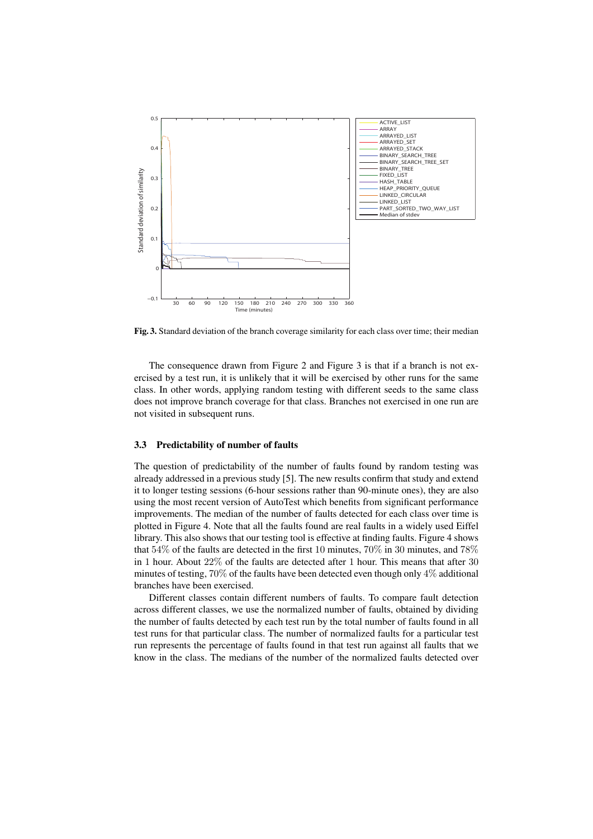

Fig. 3. Standard deviation of the branch coverage similarity for each class over time; their median

The consequence drawn from Figure 2 and Figure 3 is that if a branch is not exercised by a test run, it is unlikely that it will be exercised by other runs for the same class. In other words, applying random testing with different seeds to the same class does not improve branch coverage for that class. Branches not exercised in one run are not visited in subsequent runs.

### 3.3 Predictability of number of faults

The question of predictability of the number of faults found by random testing was already addressed in a previous study [5]. The new results confirm that study and extend it to longer testing sessions (6-hour sessions rather than 90-minute ones), they are also using the most recent version of AutoTest which benefits from significant performance improvements. The median of the number of faults detected for each class over time is plotted in Figure 4. Note that all the faults found are real faults in a widely used Eiffel library. This also shows that our testing tool is effective at finding faults. Figure 4 shows that 54% of the faults are detected in the first 10 minutes, 70% in 30 minutes, and 78% in 1 hour. About 22% of the faults are detected after 1 hour. This means that after 30 minutes of testing,  $70\%$  of the faults have been detected even though only  $4\%$  additional branches have been exercised.

Different classes contain different numbers of faults. To compare fault detection across different classes, we use the normalized number of faults, obtained by dividing the number of faults detected by each test run by the total number of faults found in all test runs for that particular class. The number of normalized faults for a particular test run represents the percentage of faults found in that test run against all faults that we know in the class. The medians of the number of the normalized faults detected over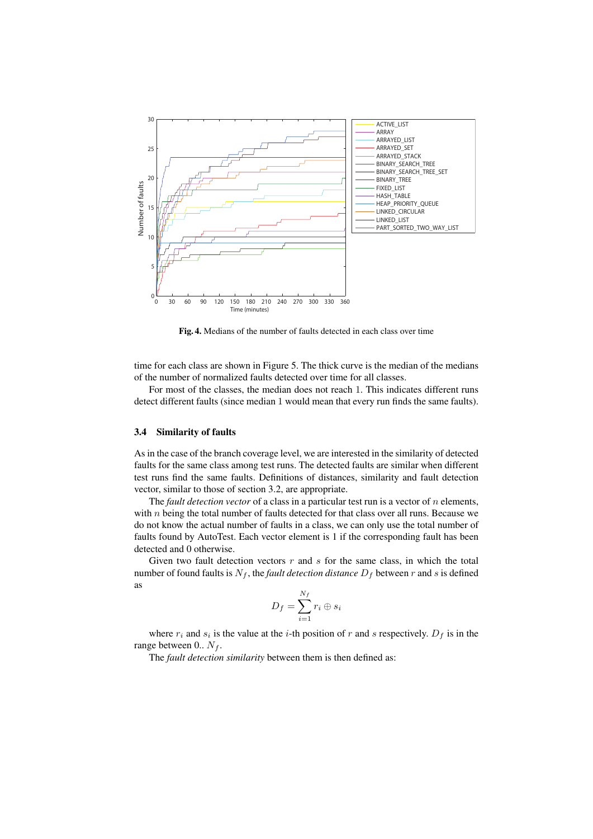

Fig. 4. Medians of the number of faults detected in each class over time

time for each class are shown in Figure 5. The thick curve is the median of the medians of the number of normalized faults detected over time for all classes.

For most of the classes, the median does not reach 1. This indicates different runs detect different faults (since median 1 would mean that every run finds the same faults).

## 3.4 Similarity of faults

As in the case of the branch coverage level, we are interested in the similarity of detected faults for the same class among test runs. The detected faults are similar when different test runs find the same faults. Definitions of distances, similarity and fault detection vector, similar to those of section 3.2, are appropriate.

The *fault detection vector* of a class in a particular test run is a vector of *n* elements, with *n* being the total number of faults detected for that class over all runs. Because we do not know the actual number of faults in a class, we can only use the total number of faults found by AutoTest. Each vector element is 1 if the corresponding fault has been detected and 0 otherwise.

Given two fault detection vectors *r* and *s* for the same class, in which the total number of found faults is  $N_f$ , the *fault detection distance*  $D_f$  between  $r$  and  $s$  is defined as

$$
D_f = \sum_{i=1}^{N_f} r_i \oplus s_i
$$

where  $r_i$  and  $s_i$  is the value at the *i*-th position of *r* and *s* respectively.  $D_f$  is in the range between 0.. *N<sup>f</sup>* .

The *fault detection similarity* between them is then defined as: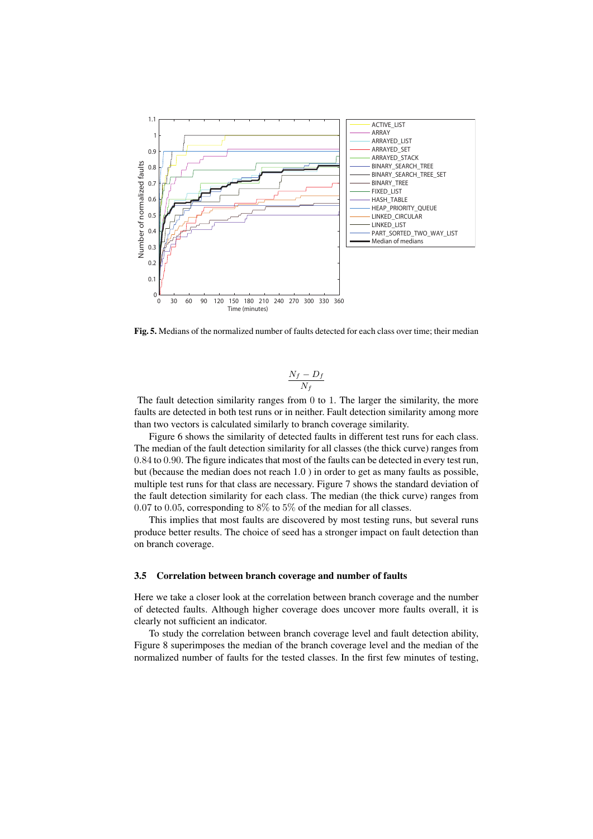

Fig. 5. Medians of the normalized number of faults detected for each class over time; their median

$$
\frac{N_f - D_f}{N_f}
$$

The fault detection similarity ranges from 0 to 1. The larger the similarity, the more faults are detected in both test runs or in neither. Fault detection similarity among more than two vectors is calculated similarly to branch coverage similarity.

Figure 6 shows the similarity of detected faults in different test runs for each class. The median of the fault detection similarity for all classes (the thick curve) ranges from 0*.*84 to 0*.*90. The figure indicates that most of the faults can be detected in every test run, but (because the median does not reach 1.0 ) in order to get as many faults as possible, multiple test runs for that class are necessary. Figure 7 shows the standard deviation of the fault detection similarity for each class. The median (the thick curve) ranges from 0*.*07 to 0*.*05, corresponding to 8% to 5% of the median for all classes.

This implies that most faults are discovered by most testing runs, but several runs produce better results. The choice of seed has a stronger impact on fault detection than on branch coverage.

### 3.5 Correlation between branch coverage and number of faults

Here we take a closer look at the correlation between branch coverage and the number of detected faults. Although higher coverage does uncover more faults overall, it is clearly not sufficient an indicator.

To study the correlation between branch coverage level and fault detection ability, Figure 8 superimposes the median of the branch coverage level and the median of the normalized number of faults for the tested classes. In the first few minutes of testing,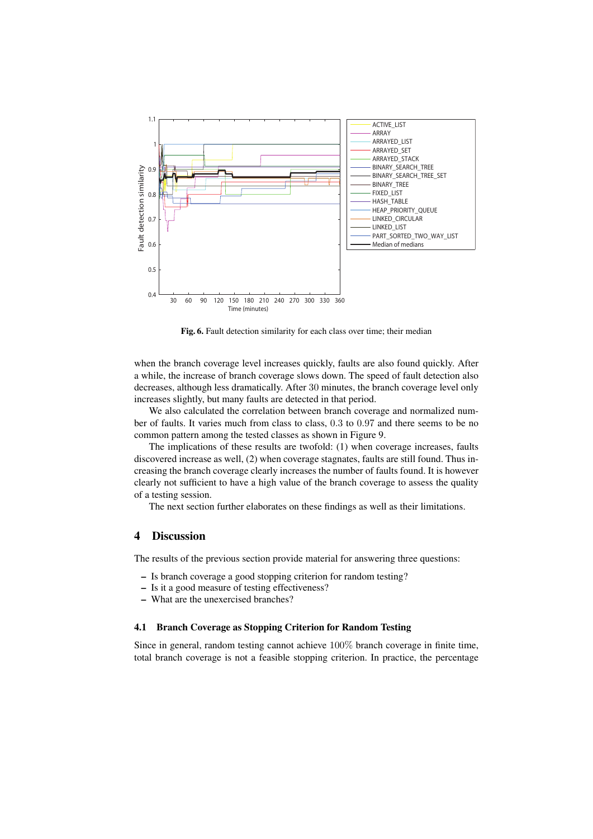

Fig. 6. Fault detection similarity for each class over time; their median

when the branch coverage level increases quickly, faults are also found quickly. After a while, the increase of branch coverage slows down. The speed of fault detection also decreases, although less dramatically. After 30 minutes, the branch coverage level only increases slightly, but many faults are detected in that period.

We also calculated the correlation between branch coverage and normalized number of faults. It varies much from class to class, 0*.*3 to 0*.*97 and there seems to be no common pattern among the tested classes as shown in Figure 9.

The implications of these results are twofold: (1) when coverage increases, faults discovered increase as well, (2) when coverage stagnates, faults are still found. Thus increasing the branch coverage clearly increases the number of faults found. It is however clearly not sufficient to have a high value of the branch coverage to assess the quality of a testing session.

The next section further elaborates on these findings as well as their limitations.

## 4 Discussion

The results of the previous section provide material for answering three questions:

- Is branch coverage a good stopping criterion for random testing?
- Is it a good measure of testing effectiveness?
- What are the unexercised branches?

## 4.1 Branch Coverage as Stopping Criterion for Random Testing

Since in general, random testing cannot achieve 100% branch coverage in finite time, total branch coverage is not a feasible stopping criterion. In practice, the percentage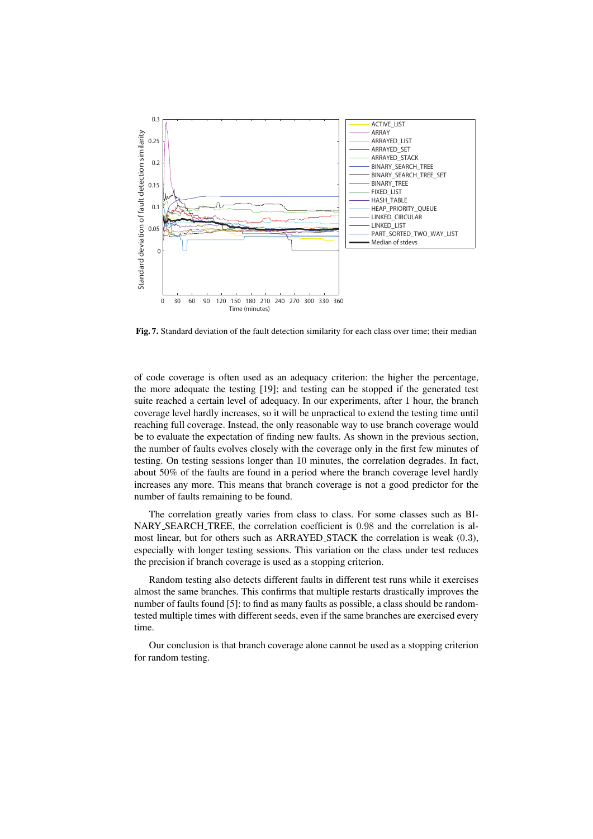

Fig. 7. Standard deviation of the fault detection similarity for each class over time; their median

of code coverage is often used as an adequacy criterion: the higher the percentage, the more adequate the testing [19]; and testing can be stopped if the generated test suite reached a certain level of adequacy. In our experiments, after 1 hour, the branch coverage level hardly increases, so it will be unpractical to extend the testing time until reaching full coverage. Instead, the only reasonable way to use branch coverage would be to evaluate the expectation of finding new faults. As shown in the previous section, the number of faults evolves closely with the coverage only in the first few minutes of testing. On testing sessions longer than 10 minutes, the correlation degrades. In fact, about 50% of the faults are found in a period where the branch coverage level hardly increases any more. This means that branch coverage is not a good predictor for the number of faults remaining to be found.

The correlation greatly varies from class to class. For some classes such as BI-NARY SEARCH TREE, the correlation coefficient is 0*.*98 and the correlation is almost linear, but for others such as ARRAYED STACK the correlation is weak (0*.*3), especially with longer testing sessions. This variation on the class under test reduces the precision if branch coverage is used as a stopping criterion.

Random testing also detects different faults in different test runs while it exercises almost the same branches. This confirms that multiple restarts drastically improves the number of faults found [5]: to find as many faults as possible, a class should be randomtested multiple times with different seeds, even if the same branches are exercised every time.

Our conclusion is that branch coverage alone cannot be used as a stopping criterion for random testing.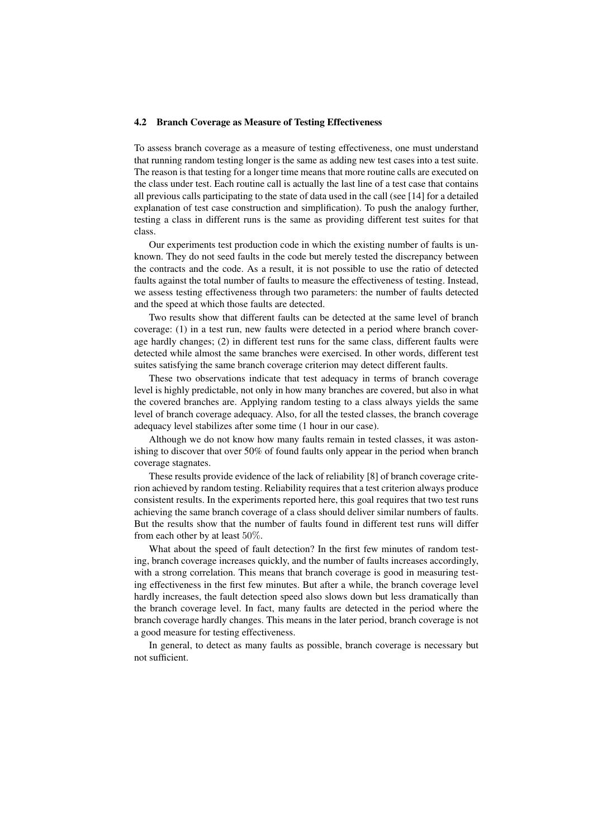#### 4.2 Branch Coverage as Measure of Testing Effectiveness

To assess branch coverage as a measure of testing effectiveness, one must understand that running random testing longer is the same as adding new test cases into a test suite. The reason is that testing for a longer time means that more routine calls are executed on the class under test. Each routine call is actually the last line of a test case that contains all previous calls participating to the state of data used in the call (see [14] for a detailed explanation of test case construction and simplification). To push the analogy further, testing a class in different runs is the same as providing different test suites for that class.

Our experiments test production code in which the existing number of faults is unknown. They do not seed faults in the code but merely tested the discrepancy between the contracts and the code. As a result, it is not possible to use the ratio of detected faults against the total number of faults to measure the effectiveness of testing. Instead, we assess testing effectiveness through two parameters: the number of faults detected and the speed at which those faults are detected.

Two results show that different faults can be detected at the same level of branch coverage: (1) in a test run, new faults were detected in a period where branch coverage hardly changes; (2) in different test runs for the same class, different faults were detected while almost the same branches were exercised. In other words, different test suites satisfying the same branch coverage criterion may detect different faults.

These two observations indicate that test adequacy in terms of branch coverage level is highly predictable, not only in how many branches are covered, but also in what the covered branches are. Applying random testing to a class always yields the same level of branch coverage adequacy. Also, for all the tested classes, the branch coverage adequacy level stabilizes after some time (1 hour in our case).

Although we do not know how many faults remain in tested classes, it was astonishing to discover that over 50% of found faults only appear in the period when branch coverage stagnates.

These results provide evidence of the lack of reliability [8] of branch coverage criterion achieved by random testing. Reliability requires that a test criterion always produce consistent results. In the experiments reported here, this goal requires that two test runs achieving the same branch coverage of a class should deliver similar numbers of faults. But the results show that the number of faults found in different test runs will differ from each other by at least 50%.

What about the speed of fault detection? In the first few minutes of random testing, branch coverage increases quickly, and the number of faults increases accordingly, with a strong correlation. This means that branch coverage is good in measuring testing effectiveness in the first few minutes. But after a while, the branch coverage level hardly increases, the fault detection speed also slows down but less dramatically than the branch coverage level. In fact, many faults are detected in the period where the branch coverage hardly changes. This means in the later period, branch coverage is not a good measure for testing effectiveness.

In general, to detect as many faults as possible, branch coverage is necessary but not sufficient.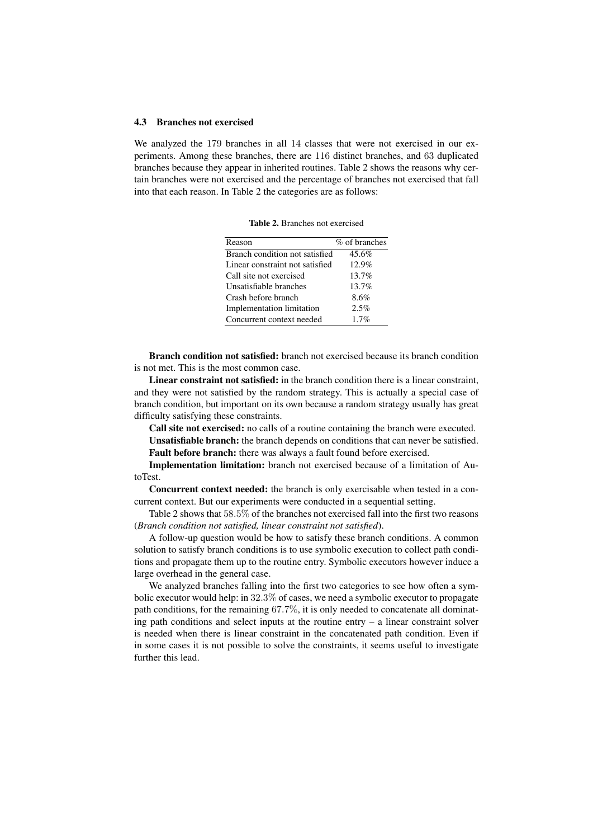#### 4.3 Branches not exercised

We analyzed the 179 branches in all 14 classes that were not exercised in our experiments. Among these branches, there are 116 distinct branches, and 63 duplicated branches because they appear in inherited routines. Table 2 shows the reasons why certain branches were not exercised and the percentage of branches not exercised that fall into that each reason. In Table 2 the categories are as follows:

| Reason                          | % of branches |
|---------------------------------|---------------|
| Branch condition not satisfied  | 45.6%         |
| Linear constraint not satisfied | 12.9%         |
| Call site not exercised         | 13.7%         |
| Unsatisfiable branches          | 13.7%         |
| Crash before branch             | 8.6%          |
| Implementation limitation       | 2.5%          |
| Concurrent context needed       | 1.7%          |

Table 2. Branches not exercised

Branch condition not satisfied: branch not exercised because its branch condition is not met. This is the most common case.

Linear constraint not satisfied: in the branch condition there is a linear constraint, and they were not satisfied by the random strategy. This is actually a special case of branch condition, but important on its own because a random strategy usually has great difficulty satisfying these constraints.

Call site not exercised: no calls of a routine containing the branch were executed.

Unsatisfiable branch: the branch depends on conditions that can never be satisfied. Fault before branch: there was always a fault found before exercised.

Implementation limitation: branch not exercised because of a limitation of AutoTest.

Concurrent context needed: the branch is only exercisable when tested in a concurrent context. But our experiments were conducted in a sequential setting.

Table 2 shows that 58*.*5% of the branches not exercised fall into the first two reasons (*Branch condition not satisfied, linear constraint not satisfied*).

A follow-up question would be how to satisfy these branch conditions. A common solution to satisfy branch conditions is to use symbolic execution to collect path conditions and propagate them up to the routine entry. Symbolic executors however induce a large overhead in the general case.

We analyzed branches falling into the first two categories to see how often a symbolic executor would help: in 32*.*3% of cases, we need a symbolic executor to propagate path conditions, for the remaining 67*.*7%, it is only needed to concatenate all dominating path conditions and select inputs at the routine entry – a linear constraint solver is needed when there is linear constraint in the concatenated path condition. Even if in some cases it is not possible to solve the constraints, it seems useful to investigate further this lead.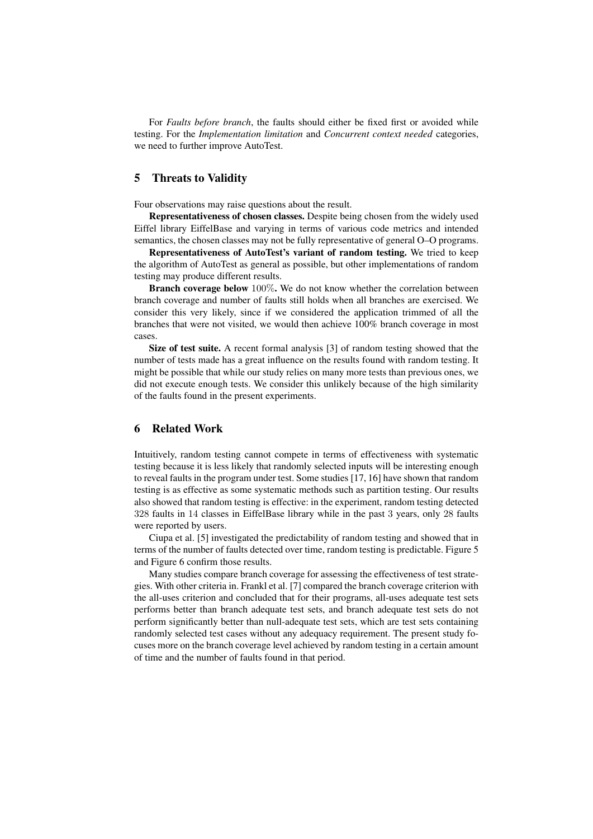For *Faults before branch*, the faults should either be fixed first or avoided while testing. For the *Implementation limitation* and *Concurrent context needed* categories, we need to further improve AutoTest.

## 5 Threats to Validity

Four observations may raise questions about the result.

Representativeness of chosen classes. Despite being chosen from the widely used Eiffel library EiffelBase and varying in terms of various code metrics and intended semantics, the chosen classes may not be fully representative of general O–O programs.

Representativeness of AutoTest's variant of random testing. We tried to keep the algorithm of AutoTest as general as possible, but other implementations of random testing may produce different results.

Branch coverage below 100%. We do not know whether the correlation between branch coverage and number of faults still holds when all branches are exercised. We consider this very likely, since if we considered the application trimmed of all the branches that were not visited, we would then achieve 100% branch coverage in most cases.

Size of test suite. A recent formal analysis [3] of random testing showed that the number of tests made has a great influence on the results found with random testing. It might be possible that while our study relies on many more tests than previous ones, we did not execute enough tests. We consider this unlikely because of the high similarity of the faults found in the present experiments.

## 6 Related Work

Intuitively, random testing cannot compete in terms of effectiveness with systematic testing because it is less likely that randomly selected inputs will be interesting enough to reveal faults in the program under test. Some studies [17, 16] have shown that random testing is as effective as some systematic methods such as partition testing. Our results also showed that random testing is effective: in the experiment, random testing detected 328 faults in 14 classes in EiffelBase library while in the past 3 years, only 28 faults were reported by users.

Ciupa et al. [5] investigated the predictability of random testing and showed that in terms of the number of faults detected over time, random testing is predictable. Figure 5 and Figure 6 confirm those results.

Many studies compare branch coverage for assessing the effectiveness of test strategies. With other criteria in. Frankl et al. [7] compared the branch coverage criterion with the all-uses criterion and concluded that for their programs, all-uses adequate test sets performs better than branch adequate test sets, and branch adequate test sets do not perform significantly better than null-adequate test sets, which are test sets containing randomly selected test cases without any adequacy requirement. The present study focuses more on the branch coverage level achieved by random testing in a certain amount of time and the number of faults found in that period.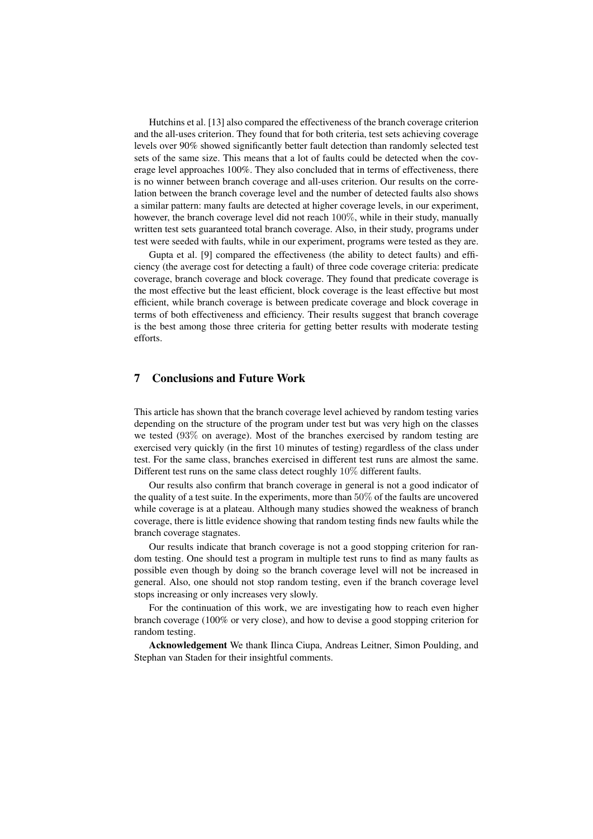Hutchins et al. [13] also compared the effectiveness of the branch coverage criterion and the all-uses criterion. They found that for both criteria, test sets achieving coverage levels over 90% showed significantly better fault detection than randomly selected test sets of the same size. This means that a lot of faults could be detected when the coverage level approaches 100%. They also concluded that in terms of effectiveness, there is no winner between branch coverage and all-uses criterion. Our results on the correlation between the branch coverage level and the number of detected faults also shows a similar pattern: many faults are detected at higher coverage levels, in our experiment, however, the branch coverage level did not reach  $100\%$ , while in their study, manually written test sets guaranteed total branch coverage. Also, in their study, programs under test were seeded with faults, while in our experiment, programs were tested as they are.

Gupta et al. [9] compared the effectiveness (the ability to detect faults) and efficiency (the average cost for detecting a fault) of three code coverage criteria: predicate coverage, branch coverage and block coverage. They found that predicate coverage is the most effective but the least efficient, block coverage is the least effective but most efficient, while branch coverage is between predicate coverage and block coverage in terms of both effectiveness and efficiency. Their results suggest that branch coverage is the best among those three criteria for getting better results with moderate testing efforts.

# 7 Conclusions and Future Work

This article has shown that the branch coverage level achieved by random testing varies depending on the structure of the program under test but was very high on the classes we tested (93% on average). Most of the branches exercised by random testing are exercised very quickly (in the first 10 minutes of testing) regardless of the class under test. For the same class, branches exercised in different test runs are almost the same. Different test runs on the same class detect roughly 10% different faults.

Our results also confirm that branch coverage in general is not a good indicator of the quality of a test suite. In the experiments, more than 50% of the faults are uncovered while coverage is at a plateau. Although many studies showed the weakness of branch coverage, there is little evidence showing that random testing finds new faults while the branch coverage stagnates.

Our results indicate that branch coverage is not a good stopping criterion for random testing. One should test a program in multiple test runs to find as many faults as possible even though by doing so the branch coverage level will not be increased in general. Also, one should not stop random testing, even if the branch coverage level stops increasing or only increases very slowly.

For the continuation of this work, we are investigating how to reach even higher branch coverage (100% or very close), and how to devise a good stopping criterion for random testing.

Acknowledgement We thank Ilinca Ciupa, Andreas Leitner, Simon Poulding, and Stephan van Staden for their insightful comments.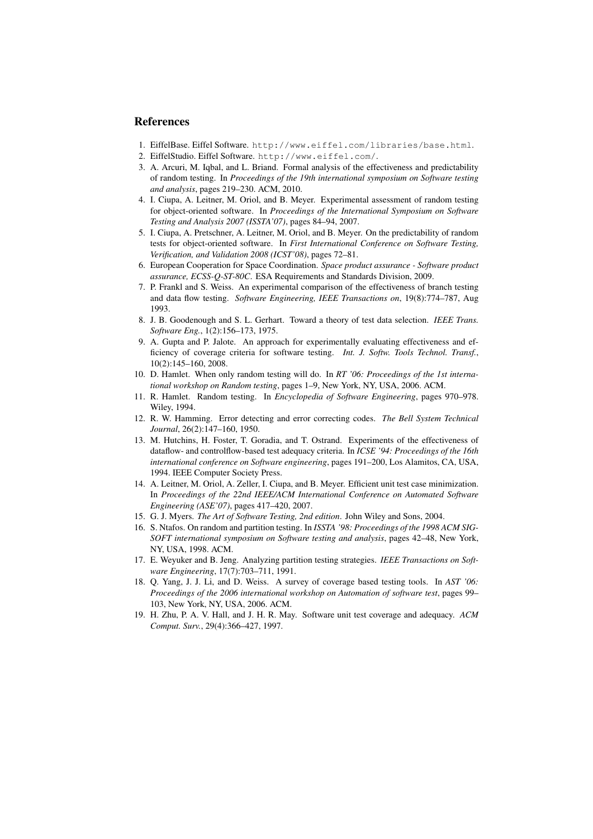# References

- 1. EiffelBase. Eiffel Software. http://www.eiffel.com/libraries/base.html.
- 2. EiffelStudio. Eiffel Software. http://www.eiffel.com/.
- 3. A. Arcuri, M. Iqbal, and L. Briand. Formal analysis of the effectiveness and predictability of random testing. In *Proceedings of the 19th international symposium on Software testing and analysis*, pages 219–230. ACM, 2010.
- 4. I. Ciupa, A. Leitner, M. Oriol, and B. Meyer. Experimental assessment of random testing for object-oriented software. In *Proceedings of the International Symposium on Software Testing and Analysis 2007 (ISSTA'07)*, pages 84–94, 2007.
- 5. I. Ciupa, A. Pretschner, A. Leitner, M. Oriol, and B. Meyer. On the predictability of random tests for object-oriented software. In *First International Conference on Software Testing, Verification, and Validation 2008 (ICST'08)*, pages 72–81.
- 6. European Cooperation for Space Coordination. *Space product assurance Software product assurance, ECSS-Q-ST-80C*. ESA Requirements and Standards Division, 2009.
- 7. P. Frankl and S. Weiss. An experimental comparison of the effectiveness of branch testing and data flow testing. *Software Engineering, IEEE Transactions on*, 19(8):774–787, Aug 1993.
- 8. J. B. Goodenough and S. L. Gerhart. Toward a theory of test data selection. *IEEE Trans. Software Eng.*, 1(2):156–173, 1975.
- 9. A. Gupta and P. Jalote. An approach for experimentally evaluating effectiveness and efficiency of coverage criteria for software testing. *Int. J. Softw. Tools Technol. Transf.*, 10(2):145–160, 2008.
- 10. D. Hamlet. When only random testing will do. In *RT '06: Proceedings of the 1st international workshop on Random testing*, pages 1–9, New York, NY, USA, 2006. ACM.
- 11. R. Hamlet. Random testing. In *Encyclopedia of Software Engineering*, pages 970–978. Wiley, 1994.
- 12. R. W. Hamming. Error detecting and error correcting codes. *The Bell System Technical Journal*, 26(2):147–160, 1950.
- 13. M. Hutchins, H. Foster, T. Goradia, and T. Ostrand. Experiments of the effectiveness of dataflow- and controlflow-based test adequacy criteria. In *ICSE '94: Proceedings of the 16th international conference on Software engineering*, pages 191–200, Los Alamitos, CA, USA, 1994. IEEE Computer Society Press.
- 14. A. Leitner, M. Oriol, A. Zeller, I. Ciupa, and B. Meyer. Efficient unit test case minimization. In *Proceedings of the 22nd IEEE/ACM International Conference on Automated Software Engineering (ASE'07)*, pages 417–420, 2007.
- 15. G. J. Myers. *The Art of Software Testing, 2nd edition*. John Wiley and Sons, 2004.
- 16. S. Ntafos. On random and partition testing. In *ISSTA '98: Proceedings of the 1998 ACM SIG-SOFT international symposium on Software testing and analysis*, pages 42–48, New York, NY, USA, 1998. ACM.
- 17. E. Weyuker and B. Jeng. Analyzing partition testing strategies. *IEEE Transactions on Software Engineering*, 17(7):703–711, 1991.
- 18. Q. Yang, J. J. Li, and D. Weiss. A survey of coverage based testing tools. In *AST '06:* Proceedings of the 2006 international workshop on Automation of software test, pages 99-103, New York, NY, USA, 2006. ACM.
- 19. H. Zhu, P. A. V. Hall, and J. H. R. May. Software unit test coverage and adequacy. *ACM Comput. Surv.*, 29(4):366–427, 1997.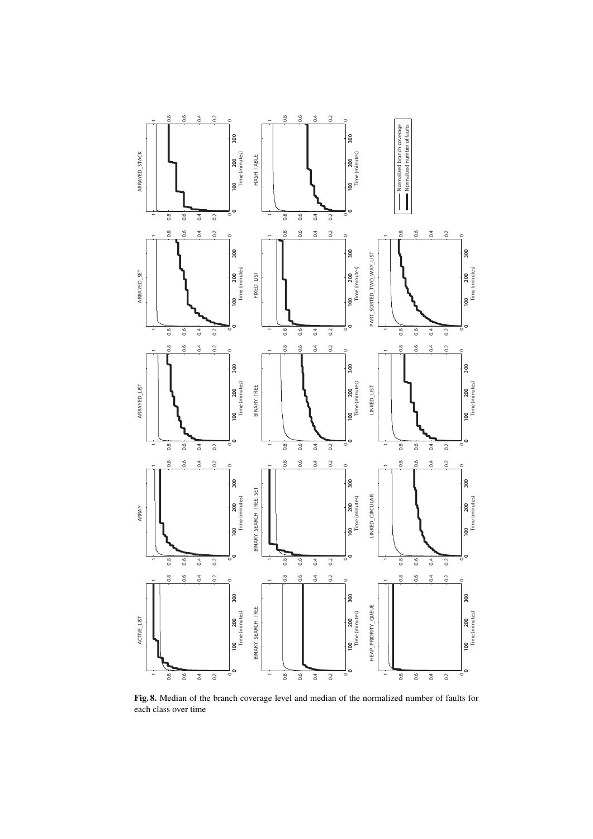

Fig. 8. Median of the branch coverage level and median of the normalized number of faults for each class over time